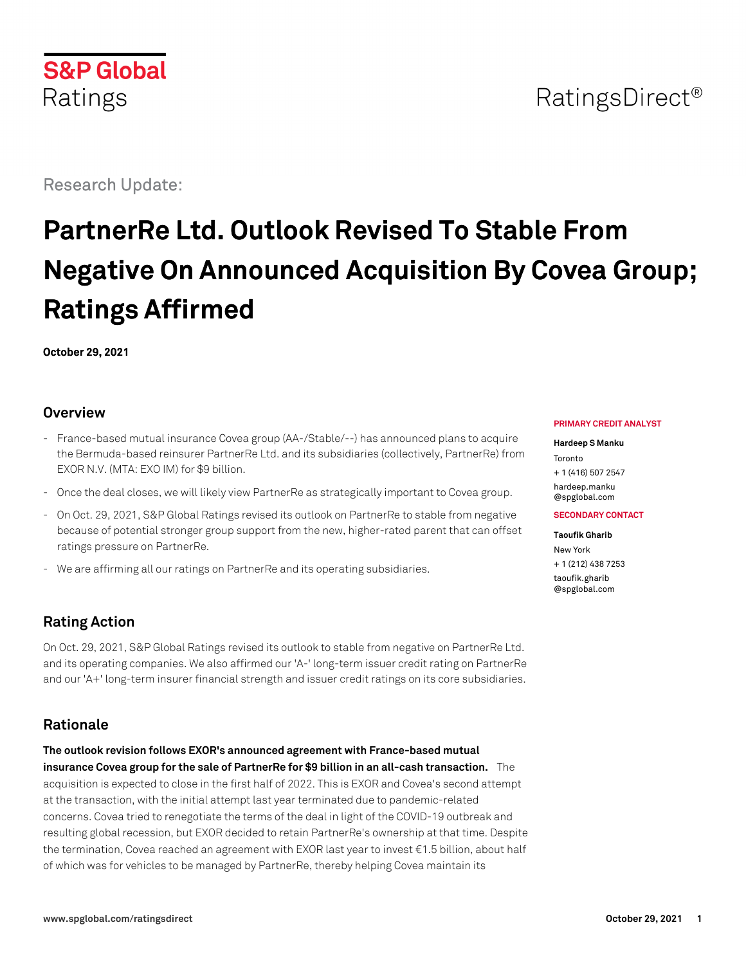# **S&P Global** Ratings

Research Update:

# **PartnerRe Ltd. Outlook Revised To Stable From Negative On Announced Acquisition By Covea Group; Ratings Affirmed**

**October 29, 2021**

### **Overview**

- France-based mutual insurance Covea group (AA-/Stable/--) has announced plans to acquire the Bermuda-based reinsurer PartnerRe Ltd. and its subsidiaries (collectively, PartnerRe) from EXOR N.V. (MTA: EXO IM) for \$9 billion.
- Once the deal closes, we will likely view PartnerRe as strategically important to Covea group.
- On Oct. 29, 2021, S&P Global Ratings revised its outlook on PartnerRe to stable from negative because of potential stronger group support from the new, higher-rated parent that can offset ratings pressure on PartnerRe.
- We are affirming all our ratings on PartnerRe and its operating subsidiaries.

# **Rating Action**

On Oct. 29, 2021, S&P Global Ratings revised its outlook to stable from negative on PartnerRe Ltd. and its operating companies. We also affirmed our 'A-' long-term issuer credit rating on PartnerRe and our 'A+' long-term insurer financial strength and issuer credit ratings on its core subsidiaries.

# **Rationale**

**The outlook revision follows EXOR's announced agreement with France-based mutual insurance Covea group for the sale of PartnerRe for \$9 billion in an all-cash transaction.** The acquisition is expected to close in the first half of 2022. This is EXOR and Covea's second attempt at the transaction, with the initial attempt last year terminated due to pandemic-related concerns. Covea tried to renegotiate the terms of the deal in light of the COVID-19 outbreak and resulting global recession, but EXOR decided to retain PartnerRe's ownership at that time. Despite the termination, Covea reached an agreement with EXOR last year to invest €1.5 billion, about half of which was for vehicles to be managed by PartnerRe, thereby helping Covea maintain its

#### **PRIMARY CREDIT ANALYST**

#### **Hardeep S Manku**

Toronto + 1 (416) 507 2547 [hardeep.manku](mailto:hardeep.manku@spglobal.com) [@spglobal.com](mailto:hardeep.manku@spglobal.com)

#### **SECONDARY CONTACT**

**Taoufik Gharib** New York + 1 (212) 438 7253 [taoufik.gharib](mailto:taoufik.gharib@spglobal.com) [@spglobal.com](mailto:taoufik.gharib@spglobal.com)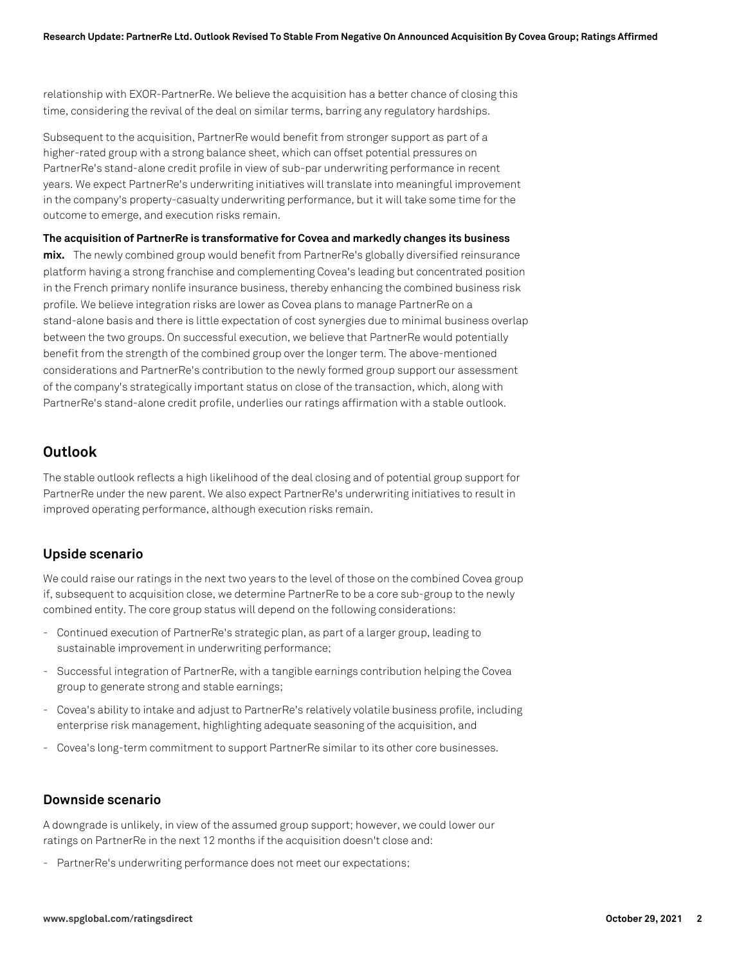relationship with EXOR-PartnerRe. We believe the acquisition has a better chance of closing this time, considering the revival of the deal on similar terms, barring any regulatory hardships.

Subsequent to the acquisition, PartnerRe would benefit from stronger support as part of a higher-rated group with a strong balance sheet, which can offset potential pressures on PartnerRe's stand-alone credit profile in view of sub-par underwriting performance in recent years. We expect PartnerRe's underwriting initiatives will translate into meaningful improvement in the company's property-casualty underwriting performance, but it will take some time for the outcome to emerge, and execution risks remain.

**The acquisition of PartnerRe is transformative for Covea and markedly changes its business mix.** The newly combined group would benefit from PartnerRe's globally diversified reinsurance platform having a strong franchise and complementing Covea's leading but concentrated position in the French primary nonlife insurance business, thereby enhancing the combined business risk profile. We believe integration risks are lower as Covea plans to manage PartnerRe on a stand-alone basis and there is little expectation of cost synergies due to minimal business overlap between the two groups. On successful execution, we believe that PartnerRe would potentially benefit from the strength of the combined group over the longer term. The above-mentioned considerations and PartnerRe's contribution to the newly formed group support our assessment of the company's strategically important status on close of the transaction, which, along with

PartnerRe's stand-alone credit profile, underlies our ratings affirmation with a stable outlook.

#### **Outlook**

The stable outlook reflects a high likelihood of the deal closing and of potential group support for PartnerRe under the new parent. We also expect PartnerRe's underwriting initiatives to result in improved operating performance, although execution risks remain.

#### **Upside scenario**

We could raise our ratings in the next two years to the level of those on the combined Covea group if, subsequent to acquisition close, we determine PartnerRe to be a core sub-group to the newly combined entity. The core group status will depend on the following considerations:

- Continued execution of PartnerRe's strategic plan, as part of a larger group, leading to sustainable improvement in underwriting performance;
- Successful integration of PartnerRe, with a tangible earnings contribution helping the Covea group to generate strong and stable earnings;
- Covea's ability to intake and adjust to PartnerRe's relatively volatile business profile, including enterprise risk management, highlighting adequate seasoning of the acquisition, and
- Covea's long-term commitment to support PartnerRe similar to its other core businesses.

#### **Downside scenario**

A downgrade is unlikely, in view of the assumed group support; however, we could lower our ratings on PartnerRe in the next 12 months if the acquisition doesn't close and:

- PartnerRe's underwriting performance does not meet our expectations;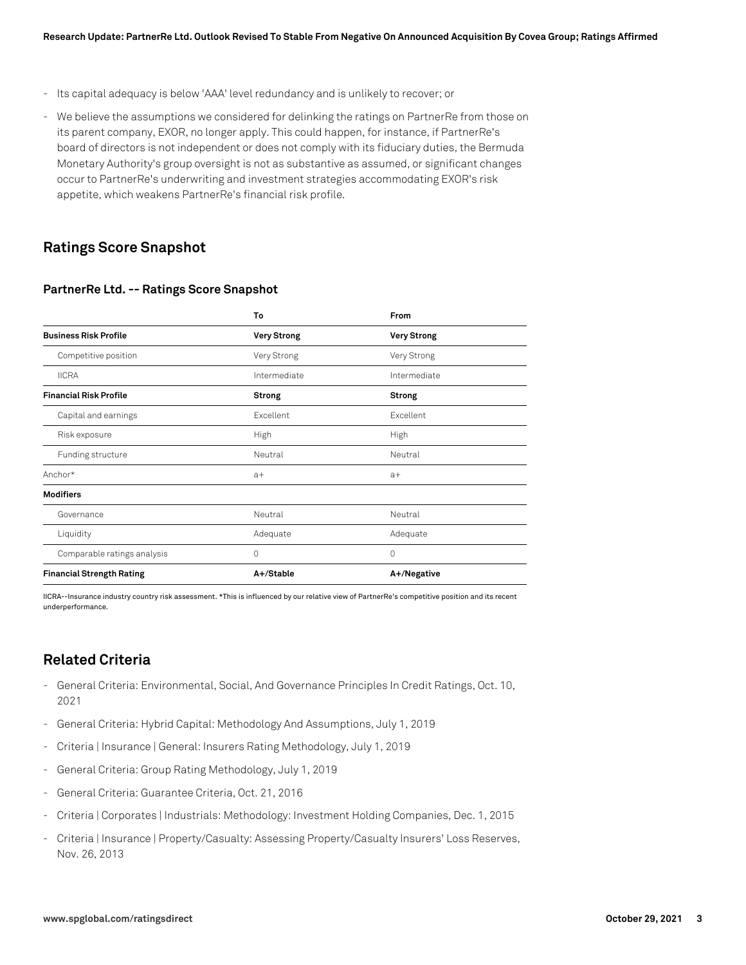- Its capital adequacy is below 'AAA' level redundancy and is unlikely to recover; or
- We believe the assumptions we considered for delinking the ratings on PartnerRe from those on its parent company, EXOR, no longer apply. This could happen, for instance, if PartnerRe's board of directors is not independent or does not comply with its fiduciary duties, the Bermuda Monetary Authority's group oversight is not as substantive as assumed, or significant changes occur to PartnerRe's underwriting and investment strategies accommodating EXOR's risk appetite, which weakens PartnerRe's financial risk profile.

#### **Ratings Score Snapshot**

#### **PartnerRe Ltd. -- Ratings Score Snapshot**

|                                  | To                 | From               |
|----------------------------------|--------------------|--------------------|
| <b>Business Risk Profile</b>     | <b>Very Strong</b> | <b>Very Strong</b> |
| Competitive position             | Very Strong        | Very Strong        |
| <b>IICRA</b>                     | Intermediate       | Intermediate       |
| <b>Financial Risk Profile</b>    | <b>Strong</b>      | Strong             |
| Capital and earnings             | Excellent          | Excellent          |
| Risk exposure                    | High               | High               |
| Funding structure                | Neutral            | Neutral            |
| Anchor*                          | $a+$               | $a+$               |
| <b>Modifiers</b>                 |                    |                    |
| Governance                       | Neutral            | Neutral            |
| Liquidity                        | Adequate           | Adequate           |
| Comparable ratings analysis      | $\Omega$           | 0                  |
| <b>Financial Strength Rating</b> | A+/Stable          | A+/Negative        |

IICRA--Insurance industry country risk assessment. \*This is influenced by our relative view of PartnerRe's competitive position and its recent underperformance.

## **Related Criteria**

- General Criteria: Environmental, Social, And Governance Principles In Credit Ratings, Oct. 10, 2021
- General Criteria: Hybrid Capital: Methodology And Assumptions, July 1, 2019
- Criteria | Insurance | General: Insurers Rating Methodology, July 1, 2019
- General Criteria: Group Rating Methodology, July 1, 2019
- General Criteria: Guarantee Criteria, Oct. 21, 2016
- Criteria | Corporates | Industrials: Methodology: Investment Holding Companies, Dec. 1, 2015
- Criteria | Insurance | Property/Casualty: Assessing Property/Casualty Insurers' Loss Reserves, Nov. 26, 2013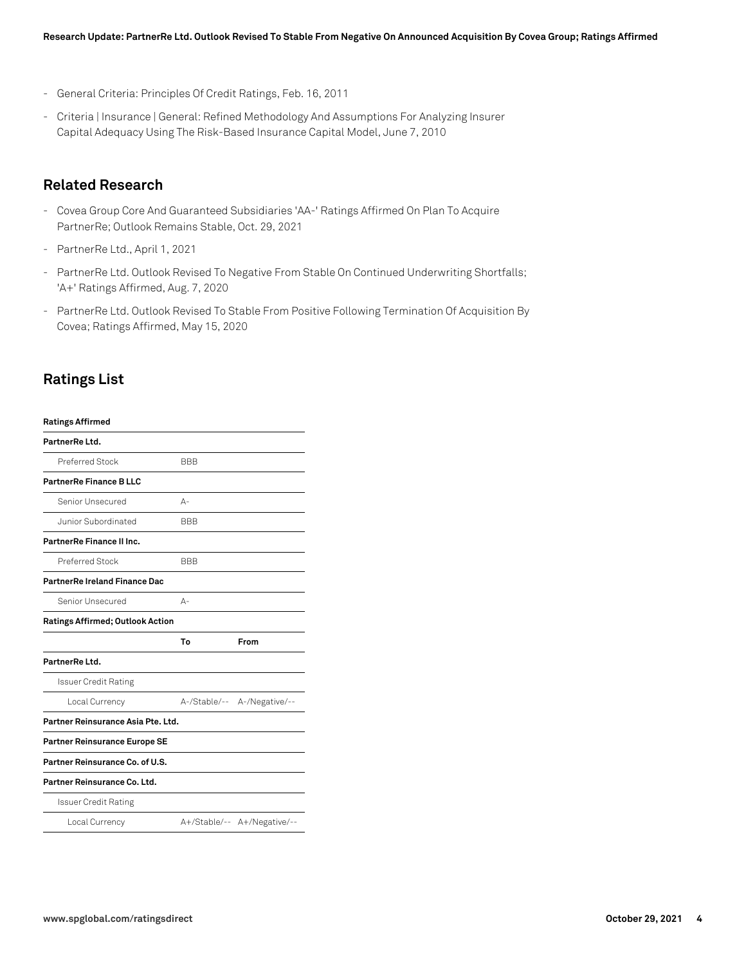- General Criteria: Principles Of Credit Ratings, Feb. 16, 2011
- Criteria | Insurance | General: Refined Methodology And Assumptions For Analyzing Insurer Capital Adequacy Using The Risk-Based Insurance Capital Model, June 7, 2010

#### **Related Research**

- Covea Group Core And Guaranteed Subsidiaries 'AA-' Ratings Affirmed On Plan To Acquire PartnerRe; Outlook Remains Stable, Oct. 29, 2021
- PartnerRe Ltd., April 1, 2021
- PartnerRe Ltd. Outlook Revised To Negative From Stable On Continued Underwriting Shortfalls; 'A+' Ratings Affirmed, Aug. 7, 2020
- PartnerRe Ltd. Outlook Revised To Stable From Positive Following Termination Of Acquisition By Covea; Ratings Affirmed, May 15, 2020

#### **Ratings List**

| <b>Ratings Affirmed</b>              |            |                             |
|--------------------------------------|------------|-----------------------------|
| PartnerRe Ltd.                       |            |                             |
| Preferred Stock                      | <b>BBB</b> |                             |
| PartnerRe Finance B LLC              |            |                             |
| Senior Unsecured                     | А-         |                             |
| Junior Subordinated                  | <b>BBB</b> |                             |
| PartnerRe Finance II Inc.            |            |                             |
| Preferred Stock                      | <b>BBB</b> |                             |
| <b>PartnerRe Ireland Finance Dac</b> |            |                             |
| Senior Unsecured                     | $A -$      |                             |
| Ratings Affirmed; Outlook Action     |            |                             |
|                                      | To         | From                        |
| PartnerRe Ltd.                       |            |                             |
| <b>Issuer Credit Rating</b>          |            |                             |
| Local Currency                       |            | A-/Stable/-- A-/Negative/-- |
| Partner Reinsurance Asia Pte. Ltd.   |            |                             |
| <b>Partner Reinsurance Europe SE</b> |            |                             |
| Partner Reinsurance Co. of U.S.      |            |                             |
| Partner Reinsurance Co. Ltd.         |            |                             |
| Issuer Credit Rating                 |            |                             |
| Local Currency                       |            | A+/Stable/-- A+/Negative/-- |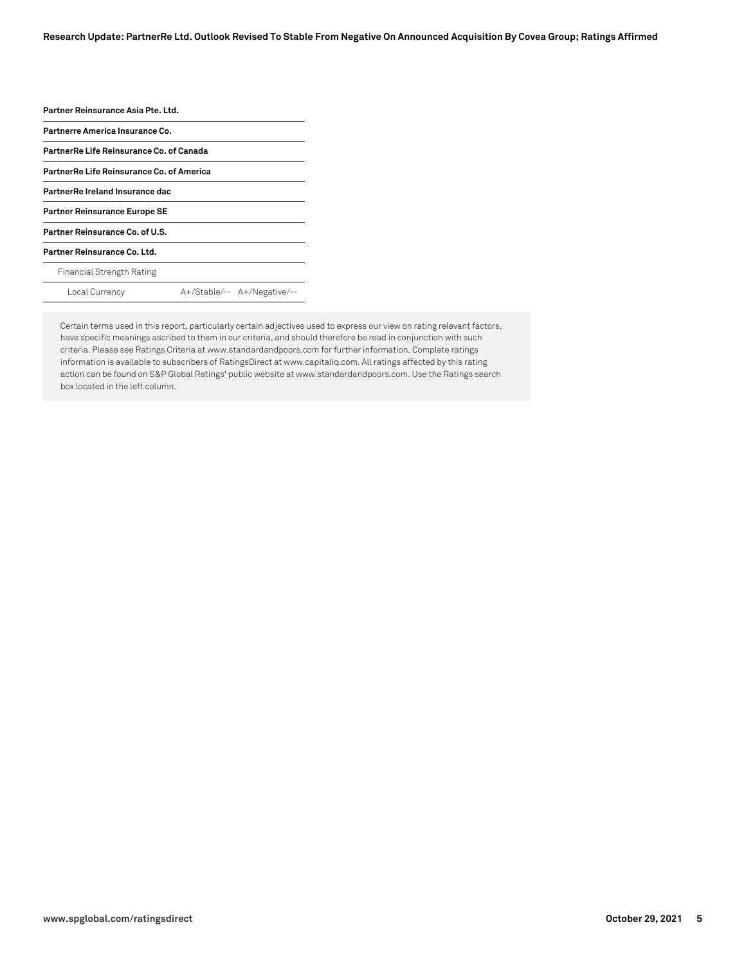| Partner Reinsurance Asia Pte. Ltd.        |                             |
|-------------------------------------------|-----------------------------|
| Partnerre America Insurance Co.           |                             |
| PartnerRe Life Reinsurance Co. of Canada  |                             |
| PartnerRe Life Reinsurance Co. of America |                             |
| PartnerRe Ireland Insurance dac           |                             |
| <b>Partner Reinsurance Europe SE</b>      |                             |
| Partner Reinsurance Co. of U.S.           |                             |
| Partner Reinsurance Co. Ltd.              |                             |
| Financial Strength Rating                 |                             |
| Local Currency                            | A+/Stable/-- A+/Negative/-- |
|                                           |                             |

Certain terms used in this report, particularly certain adjectives used to express our view on rating relevant factors, have specific meanings ascribed to them in our criteria, and should therefore be read in conjunction with such criteria. Please see Ratings Criteria at www.standardandpoors.com for further information. Complete ratings information is available to subscribers of RatingsDirect at www.capitaliq.com. All ratings affected by this rating action can be found on S&P Global Ratings' public website at www.standardandpoors.com. Use the Ratings search box located in the left column.